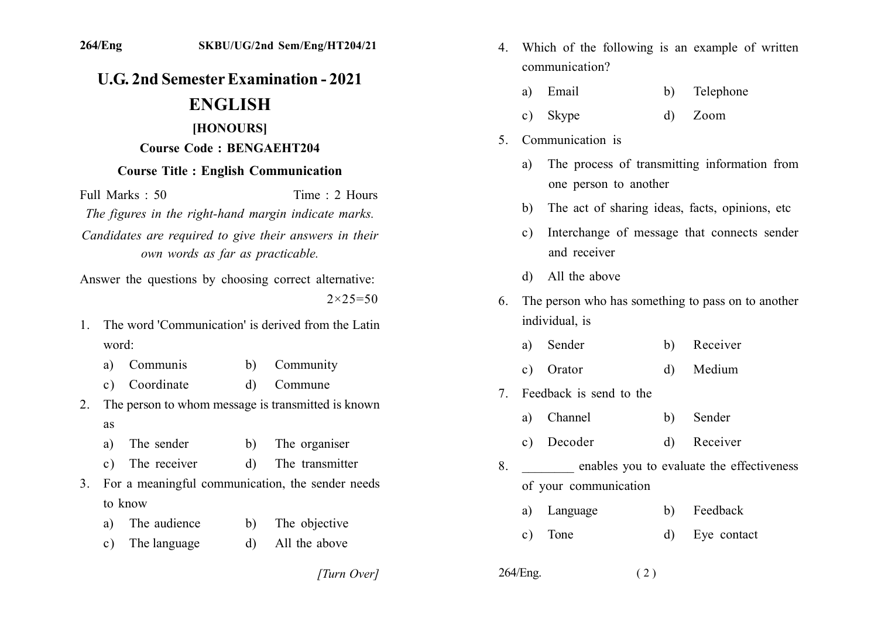## **U.G. 2nd Semester Examination - 2021 ENGLISH** [HONOURS]

## **Course Code: BENGAEHT204**

## **Course Title: English Communication**

Full Marks: 50 Time  $\cdot$  2 Hours

The figures in the right-hand margin indicate marks. Candidates are required to give their answers in their own words as far as practicable.

Answer the questions by choosing correct alternative:  $2 \times 25 = 50$ 

- 1 The word 'Communication' is derived from the Latin word:
	- Communis  $b)$ Community a)
	- Coordinate  $\overline{d}$ Commune  $c$ )
- The person to whom message is transmitted is known  $2<sup>1</sup>$ as
	- The sender The organiser  $\mathbf{b}$ a)
	- The receiver The transmitter  $d)$  $c)$
- 3. For a meaningful communication, the sender needs to know
	- The audience The objective a) b)
	- The language All the above  $\mathbf{c}$ ) d)

[Turn Over]

- Which of the following is an example of written 4. communication?
	- Email Telephone  $\mathbf{b}$ a)
	- Skype  $c)$ d) Zoom
- Communication is  $5<sup>7</sup>$ 
	- The process of transmitting information from  $\mathbf{a}$ one person to another
	- The act of sharing ideas, facts, opinions, etc. b)
	- Interchange of message that connects sender  $c)$ and receiver
	- All the above  $\mathbf{d}$
- The person who has something to pass on to another 6. individual, is
	- a) Sender Receiver b)
	- Medium c) Orator d)
- 7. Feedback is send to the
	- Channel Sender a) b)
	- Decoder Receiver  $c)$ d)
- $8<sub>1</sub>$ enables you to evaluate the effectiveness of your communication
	- Feedback Language  $b)$ a)
	- Tone Eve contact d)  $c)$
- $264/Eng.$  $(2)$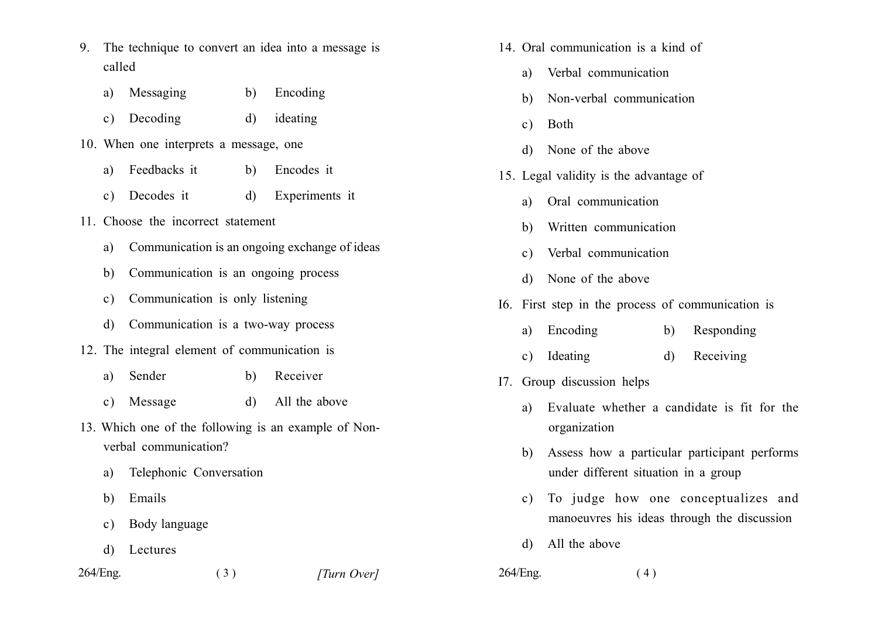- 9. The technique to convert an idea into a message is called
	- Messaging Encoding  $\mathbf{b}$ a)
	- Decoding  $d)$ ideating  $c)$
- 10. When one interprets a message, one
	- Feedbacks it  $b)$ Encodes it a)
	- Decodes it  $d)$ Experiments it  $c)$
- 11 Choose the incorrect statement
	- Communication is an ongoing exchange of ideas  $a)$
	- Communication is an ongoing process  $b)$
	- Communication is only listening  $c)$
	- Communication is a two-way process d)
- 12. The integral element of communication is
	- Sender Receiver a) b)
	- All the above Message  $\mathbf{d}$  $c$ )
- 13. Which one of the following is an example of Nonverbal communication?

 $(3)$ 

- Telephonic Conversation a)
- Emails  $h)$
- Body language  $c)$
- Lectures d)

264/Eng.

[Turn Over]

- 14. Oral communication is a kind of
	- Verbal communication a)
	- Non-verbal communication  $h$
	- **Both**  $c)$
	- None of the above  $\mathcal{A}$
- 15. Legal validity is the advantage of
	- a) Oral communication
	- Written communication b)
	- Verbal communication  $c)$
	- None of the above d)
- 16. First step in the process of communication is
	- a) Encoding  $h$ Responding
	- Ideating  $\mathbf{d}$ Receiving  $c)$
- 17. Group discussion helps
	- Evaluate whether a candidate is fit for the a) organization
	- Assess how a particular participant performs  $h$ under different situation in a group
	- To judge how one conceptualizes and  $c)$ manoeuvres his ideas through the discussion
	- All the above d)
- $264/Eng.$  $(4)$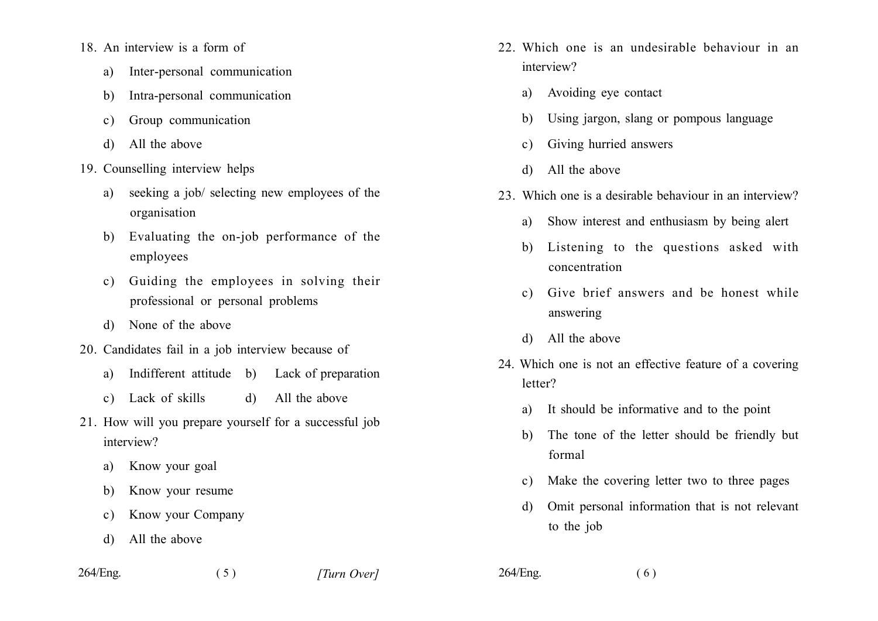- 18. An interview is a form of
	- Inter-personal communication a)
	- Intra-personal communication  $b)$
	- Group communication  $c)$
	- All the above d)
- 19. Counselling interview helps
	- seeking a job/ selecting new employees of the  $a)$ organisation
	- Evaluating the on-job performance of the b) employees
	- c) Guiding the employees in solving their professional or personal problems
	- d) None of the above
- 20. Candidates fail in a job interview because of
	- a) Indifferent attitude b) Lack of preparation
	- c) Lack of skills All the above  $d)$
- 21. How will you prepare yourself for a successful job interview?

 $(5)$ 

- Know your goal a)
- Know your resume b)
- Know your Company  $c)$
- All the above  $\mathcal{L}$

22. Which one is an undesirable behaviour in an interview?

- Avoiding eye contact a)
- Using jargon, slang or pompous language b)
- Giving hurried answers  $c)$
- All the above d)
- 23. Which one is a desirable behaviour in an interview?
	- Show interest and enthusiasm by being alert  $a)$
	- Listening to the questions asked with  $h$ ) concentration
	- Give brief answers and be honest while  $c)$ answering
	- All the above  $d)$
- 24. Which one is not an effective feature of a covering letter?
	- It should be informative and to the point a)
	- The tone of the letter should be friendly but b) formal
	- Make the covering letter two to three pages  $c)$
	- Omit personal information that is not relevant d) to the job

264/Eng.

[Turn Over]

 $264/Eng.$ 

 $(6)$